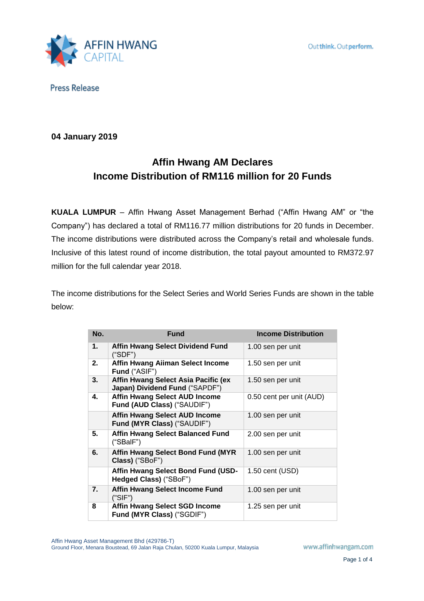

**04 January 2019**

# **Affin Hwang AM Declares Income Distribution of RM116 million for 20 Funds**

**KUALA LUMPUR** – Affin Hwang Asset Management Berhad ("Affin Hwang AM" or "the Company") has declared a total of RM116.77 million distributions for 20 funds in December. The income distributions were distributed across the Company's retail and wholesale funds. Inclusive of this latest round of income distribution, the total payout amounted to RM372.97 million for the full calendar year 2018.

The income distributions for the Select Series and World Series Funds are shown in the table below:

| No. | <b>Fund</b>                                                           | <b>Income Distribution</b> |
|-----|-----------------------------------------------------------------------|----------------------------|
| 1.  | Affin Hwang Select Dividend Fund<br>("SDF")                           | 1.00 sen per unit          |
| 2.  | Affin Hwang Aiiman Select Income<br>Fund ("ASIF")                     | 1.50 sen per unit          |
| 3.  | Affin Hwang Select Asia Pacific (ex<br>Japan) Dividend Fund ("SAPDF") | 1.50 sen per unit          |
| 4.  | <b>Affin Hwang Select AUD Income</b><br>Fund (AUD Class) ("SAUDIF")   | 0.50 cent per unit (AUD)   |
|     | <b>Affin Hwang Select AUD Income</b><br>Fund (MYR Class) ("SAUDIF")   | 1.00 sen per unit          |
| 5.  | <b>Affin Hwang Select Balanced Fund</b><br>("SBalF")                  | 2.00 sen per unit          |
| 6.  | <b>Affin Hwang Select Bond Fund (MYR</b><br>Class) ("SBoF")           | 1.00 sen per unit          |
|     | Affin Hwang Select Bond Fund (USD-<br>Hedged Class) ("SBoF")          | 1.50 cent (USD)            |
| 7.  | <b>Affin Hwang Select Income Fund</b><br>("SIF")                      | 1.00 sen per unit          |
| 8   | <b>Affin Hwang Select SGD Income</b><br>Fund (MYR Class) ("SGDIF")    | 1.25 sen per unit          |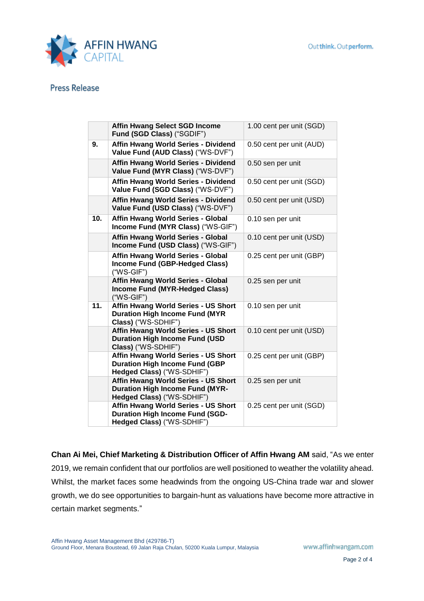

|     | <b>Affin Hwang Select SGD Income</b><br>Fund (SGD Class) ("SGDIF")                                          | 1.00 cent per unit (SGD) |
|-----|-------------------------------------------------------------------------------------------------------------|--------------------------|
| 9.  | Affin Hwang World Series - Dividend<br>Value Fund (AUD Class) ("WS-DVF")                                    | 0.50 cent per unit (AUD) |
|     | Affin Hwang World Series - Dividend<br>Value Fund (MYR Class) ("WS-DVF")                                    | 0.50 sen per unit        |
|     | Affin Hwang World Series - Dividend<br>Value Fund (SGD Class) ("WS-DVF")                                    | 0.50 cent per unit (SGD) |
|     | Affin Hwang World Series - Dividend<br>Value Fund (USD Class) ("WS-DVF")                                    | 0.50 cent per unit (USD) |
| 10. | Affin Hwang World Series - Global<br>Income Fund (MYR Class) ("WS-GIF")                                     | 0.10 sen per unit        |
|     | Affin Hwang World Series - Global<br>Income Fund (USD Class) ("WS-GIF")                                     | 0.10 cent per unit (USD) |
|     | Affin Hwang World Series - Global<br>Income Fund (GBP-Hedged Class)<br>$("WS-GIF")$                         | 0.25 cent per unit (GBP) |
|     | Affin Hwang World Series - Global<br><b>Income Fund (MYR-Hedged Class)</b><br>$("WS-GIF")$                  | 0.25 sen per unit        |
| 11. | Affin Hwang World Series - US Short<br><b>Duration High Income Fund (MYR</b><br>Class) ("WS-SDHIF")         | 0.10 sen per unit        |
|     | Affin Hwang World Series - US Short<br><b>Duration High Income Fund (USD</b><br>Class) ("WS-SDHIF")         | 0.10 cent per unit (USD) |
|     | Affin Hwang World Series - US Short<br><b>Duration High Income Fund (GBP</b><br>Hedged Class) ("WS-SDHIF")  | 0.25 cent per unit (GBP) |
|     | Affin Hwang World Series - US Short<br><b>Duration High Income Fund (MYR-</b><br>Hedged Class) ("WS-SDHIF") | 0.25 sen per unit        |
|     | Affin Hwang World Series - US Short<br><b>Duration High Income Fund (SGD-</b><br>Hedged Class) ("WS-SDHIF") | 0.25 cent per unit (SGD) |
|     |                                                                                                             |                          |

**Chan Ai Mei, Chief Marketing & Distribution Officer of Affin Hwang AM** said, "As we enter 2019, we remain confident that our portfolios are well positioned to weather the volatility ahead. Whilst, the market faces some headwinds from the ongoing US-China trade war and slower growth, we do see opportunities to bargain-hunt as valuations have become more attractive in certain market segments."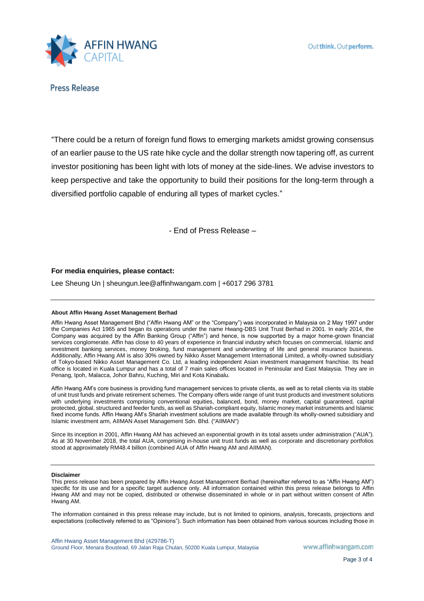

"There could be a return of foreign fund flows to emerging markets amidst growing consensus of an earlier pause to the US rate hike cycle and the dollar strength now tapering off, as current investor positioning has been light with lots of money at the side-lines. We advise investors to keep perspective and take the opportunity to build their positions for the long-term through a diversified portfolio capable of enduring all types of market cycles."

- End of Press Release –

## **For media enquiries, please contact:**

Lee Sheung Un | sheungun.lee@affinhwangam.com | +6017 296 3781

### **About Affin Hwang Asset Management Berhad**

Affin Hwang Asset Management Bhd ("Affin Hwang AM" or the "Company") was incorporated in Malaysia on 2 May 1997 under the Companies Act 1965 and began its operations under the name Hwang-DBS Unit Trust Berhad in 2001. In early 2014, the Company was acquired by the Affin Banking Group ("Affin") and hence, is now supported by a major home-grown financial services conglomerate. Affin has close to 40 years of experience in financial industry which focuses on commercial, Islamic and investment banking services, money broking, fund management and underwriting of life and general insurance business. Additionally, Affin Hwang AM is also 30% owned by Nikko Asset Management International Limited, a wholly-owned subsidiary of Tokyo-based Nikko Asset Management Co. Ltd, a leading independent Asian investment management franchise. Its head office is located in Kuala Lumpur and has a total of 7 main sales offices located in Peninsular and East Malaysia. They are in Penang, Ipoh, Malacca, Johor Bahru, Kuching, Miri and Kota Kinabalu.

Affin Hwang AM's core business is providing fund management services to private clients, as well as to retail clients via its stable of unit trust funds and private retirement schemes. The Company offers wide range of unit trust products and investment solutions with underlying investments comprising conventional equities, balanced, bond, money market, capital guaranteed, capital protected, global, structured and feeder funds, as well as Shariah-compliant equity, Islamic money market instruments and Islamic fixed income funds. Affin Hwang AM's Shariah investment solutions are made available through its wholly-owned subsidiary and Islamic investment arm, AIIMAN Asset Management Sdn. Bhd. ("AIIMAN")

Since its inception in 2001, Affin Hwang AM has achieved an exponential growth in its total assets under administration ("AUA"). As at 30 November 2018, the total AUA, comprising in-house unit trust funds as well as corporate and discretionary portfolios stood at approximately RM48.4 billion (combined AUA of Affin Hwang AM and AIIMAN).

#### **Disclaimer**

This press release has been prepared by Affin Hwang Asset Management Berhad (hereinafter referred to as "Affin Hwang AM") specific for its use and for a specific target audience only. All information contained within this press release belongs to Affin Hwang AM and may not be copied, distributed or otherwise disseminated in whole or in part without written consent of Affin Hwang AM.

The information contained in this press release may include, but is not limited to opinions, analysis, forecasts, projections and expectations (collectively referred to as "Opinions"). Such information has been obtained from various sources including those in

Affin Hwang Asset Management Bhd (429786-T) Ground Floor, Menara Boustead, 69 Jalan Raja Chulan, 50200 Kuala Lumpur, Malaysia